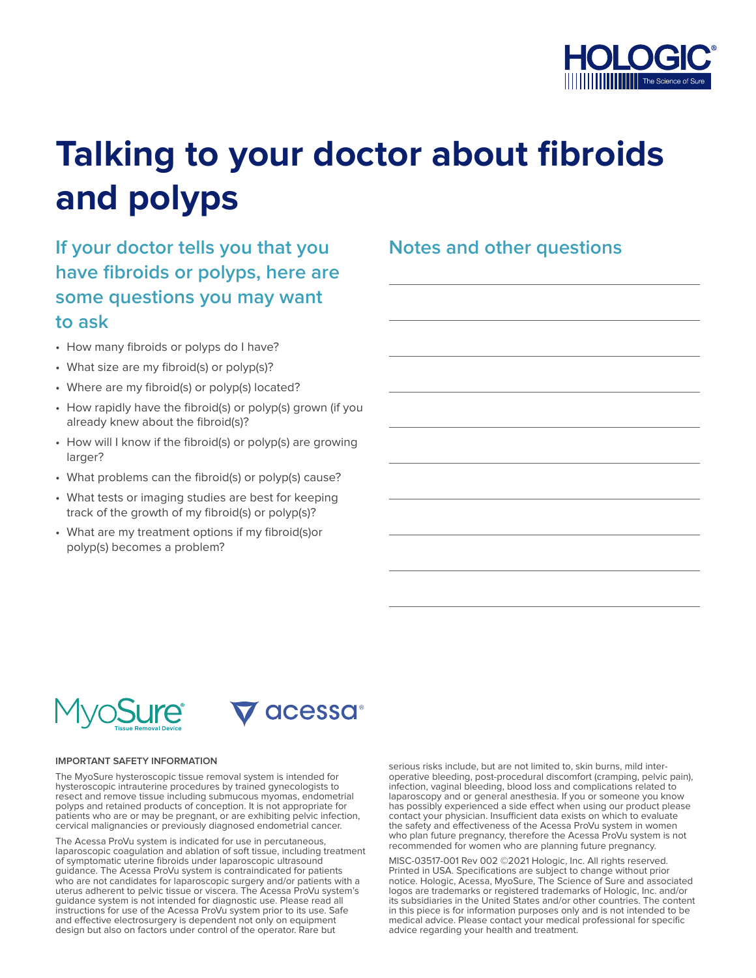

# **Talking to your doctor about fibroids and polyps**

### **If your doctor tells you that you have fibroids or polyps, here are some questions you may want to ask**

- How many fibroids or polyps do I have?
- What size are my fibroid(s) or polyp(s)?
- Where are my fibroid(s) or polyp(s) located?
- How rapidly have the fibroid(s) or polyp(s) grown (if you already knew about the fibroid(s)?
- How will I know if the fibroid(s) or polyp(s) are growing larger?
- What problems can the fibroid(s) or polyp(s) cause?
- What tests or imaging studies are best for keeping track of the growth of my fibroid(s) or polyp(s)?
- What are my treatment options if my fibroid(s)or polyp(s) becomes a problem?



#### **IMPORTANT SAFETY INFORMATION**

The MyoSure hysteroscopic tissue removal system is intended for hysteroscopic intrauterine procedures by trained gynecologists to resect and remove tissue including submucous myomas, endometrial polyps and retained products of conception. It is not appropriate for patients who are or may be pregnant, or are exhibiting pelvic infection, cervical malignancies or previously diagnosed endometrial cancer.

The Acessa ProVu system is indicated for use in percutaneous, laparoscopic coagulation and ablation of soft tissue, including treatment of symptomatic uterine fibroids under laparoscopic ultrasound guidance. The Acessa ProVu system is contraindicated for patients who are not candidates for laparoscopic surgery and/or patients with a uterus adherent to pelvic tissue or viscera. The Acessa ProVu system's guidance system is not intended for diagnostic use. Please read all instructions for use of the Acessa ProVu system prior to its use. Safe and effective electrosurgery is dependent not only on equipment design but also on factors under control of the operator. Rare but

serious risks include, but are not limited to, skin burns, mild interoperative bleeding, post-procedural discomfort (cramping, pelvic pain), infection, vaginal bleeding, blood loss and complications related to laparoscopy and or general anesthesia. If you or someone you know has possibly experienced a side effect when using our product please contact your physician. Insufficient data exists on which to evaluate the safety and effectiveness of the Acessa ProVu system in women who plan future pregnancy, therefore the Acessa ProVu system is not recommended for women who are planning future pregnancy.

MISC-03517-001 Rev 002 ©2021 Hologic, Inc. All rights reserved. Printed in USA. Specifications are subject to change without prior notice. Hologic, Acessa, MyoSure, The Science of Sure and associated logos are trademarks or registered trademarks of Hologic, Inc. and/or its subsidiaries in the United States and/or other countries. The content in this piece is for information purposes only and is not intended to be medical advice. Please contact your medical professional for specific advice regarding your health and treatment.

#### **Notes and other questions**